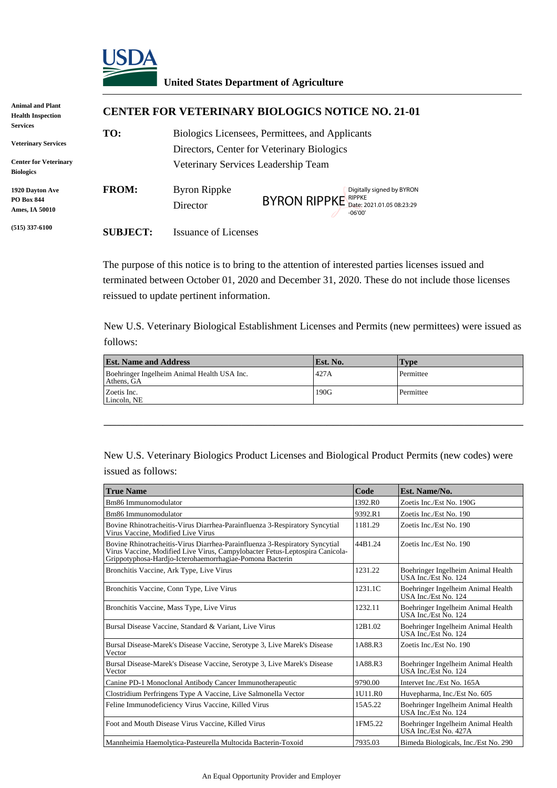

## **United States Department of Agriculture**

| <b>Animal and Plant</b><br><b>Health Inspection</b>                           | <b>CENTER FOR VETERINARY BIOLOGICS NOTICE NO. 21-01</b> |                                                                                               |                                                                                                                     |  |
|-------------------------------------------------------------------------------|---------------------------------------------------------|-----------------------------------------------------------------------------------------------|---------------------------------------------------------------------------------------------------------------------|--|
| <b>Services</b><br><b>Veterinary Services</b><br><b>Center for Veterinary</b> | TO:                                                     | Biologics Licensees, Permittees, and Applicants<br>Directors, Center for Veterinary Biologics |                                                                                                                     |  |
| <b>Biologics</b>                                                              |                                                         | Veterinary Services Leadership Team                                                           |                                                                                                                     |  |
| 1920 Davton Ave<br><b>PO Box 844</b><br>Ames, IA 50010                        | <b>FROM:</b>                                            | Byron Rippke<br>Director                                                                      | Digitally signed by BYRON<br>$\rm BYROM~RIPPKE^{\textit{RIPPKE}}_{\textit{Date: 2021.01.05 08:23:29}}$<br>$-06'00'$ |  |
| $(515)$ 337-6100                                                              | <b>SUBJECT:</b>                                         | <b>Issuance of Licenses</b>                                                                   |                                                                                                                     |  |

| <b>Est. Name and Address</b>                              | Est. No. | Type      |
|-----------------------------------------------------------|----------|-----------|
| Boehringer Ingelheim Animal Health USA Inc.<br>Athens, GA | 427A     | Permittee |
| Zoetis Inc.<br>Lincoln. NE                                | 190G     | Permittee |

|                                                            | Director                                                                                                                                                                                                                | $BYRON$ RIPPKE $_{Date: 2021.01.0508:23:29}^{RIPPRE}$ | -06'00'            |                                                                                                   |
|------------------------------------------------------------|-------------------------------------------------------------------------------------------------------------------------------------------------------------------------------------------------------------------------|-------------------------------------------------------|--------------------|---------------------------------------------------------------------------------------------------|
| <b>SUBJECT:</b>                                            | <b>Issuance of Licenses</b>                                                                                                                                                                                             |                                                       |                    |                                                                                                   |
|                                                            | The purpose of this notice is to bring to the attention of interested parties licenses issued and<br>reissued to update pertinent information.                                                                          |                                                       |                    | terminated between October 01, 2020 and December 31, 2020. These do not include those licenses    |
|                                                            |                                                                                                                                                                                                                         |                                                       |                    |                                                                                                   |
| follows:                                                   |                                                                                                                                                                                                                         |                                                       |                    | New U.S. Veterinary Biological Establishment Licenses and Permits (new permittees) were issued as |
| <b>Est. Name and Address</b>                               |                                                                                                                                                                                                                         | Est. No.                                              |                    | <b>Type</b>                                                                                       |
|                                                            | Boehringer Ingelheim Animal Health USA Inc.                                                                                                                                                                             | 427A                                                  |                    | Permittee                                                                                         |
| Athens, GA<br>Zoetis Inc.<br>Lincoln, NE                   |                                                                                                                                                                                                                         | 190G                                                  |                    | Permittee                                                                                         |
|                                                            |                                                                                                                                                                                                                         |                                                       |                    |                                                                                                   |
|                                                            |                                                                                                                                                                                                                         |                                                       |                    |                                                                                                   |
|                                                            |                                                                                                                                                                                                                         |                                                       |                    | New U.S. Veterinary Biologics Product Licenses and Biological Product Permits (new codes) were    |
| <b>True Name</b>                                           |                                                                                                                                                                                                                         |                                                       | Code               | Est. Name/No.                                                                                     |
| Bm86 Immunomodulator                                       |                                                                                                                                                                                                                         |                                                       | I392.R0            | Zoetis Inc./Est No. 190G                                                                          |
| Bm86 Immunomodulator<br>Virus Vaccine, Modified Live Virus | Bovine Rhinotracheitis-Virus Diarrhea-Parainfluenza 3-Respiratory Syncytial                                                                                                                                             |                                                       | 9392.R1<br>1181.29 | Zoetis Inc./Est No. 190<br>Zoetis Inc./Est No. 190                                                |
|                                                            | Bovine Rhinotracheitis-Virus Diarrhea-Parainfluenza 3-Respiratory Syncytial<br>Virus Vaccine, Modified Live Virus, Campylobacter Fetus-Leptospira Canicola-<br>Grippotyphosa-Hardjo-Icterohaemorrhagiae-Pomona Bacterin |                                                       | 44B1.24            | Zoetis Inc./Est No. 190                                                                           |
|                                                            | Bronchitis Vaccine, Ark Type, Live Virus                                                                                                                                                                                |                                                       | 1231.22            | Boehringer Ingelheim Animal Health<br>USA Inc./Est No. 124                                        |
|                                                            | Bronchitis Vaccine, Conn Type, Live Virus                                                                                                                                                                               |                                                       | 1231.1C            | Boehringer Ingelheim Animal Health<br>USA Inc./Est No. 124                                        |
|                                                            | Bronchitis Vaccine, Mass Type, Live Virus                                                                                                                                                                               |                                                       | 1232.11            | Boehringer Ingelheim Animal Health<br>USA Inc./Est No. 124                                        |
|                                                            | Bursal Disease Vaccine, Standard & Variant, Live Virus                                                                                                                                                                  |                                                       | 12B1.02            | Boehringer Ingelheim Animal Health<br>USA Inc./Est No. 124                                        |
| Vector                                                     | Bursal Disease-Marek's Disease Vaccine, Serotype 3, Live Marek's Disease                                                                                                                                                |                                                       | 1A88.R3            | Zoetis Inc./Est No. 190                                                                           |
| Vector                                                     | Bursal Disease-Marek's Disease Vaccine, Serotype 3, Live Marek's Disease                                                                                                                                                |                                                       | 1A88.R3            | Boehringer Ingelheim Animal Health<br>USA Inc./Est No. 124                                        |
|                                                            | Canine PD-1 Monoclonal Antibody Cancer Immunotherapeutic                                                                                                                                                                |                                                       | 9790.00            | Intervet Inc./Est No. 165A                                                                        |
|                                                            | Clostridium Perfringens Type A Vaccine, Live Salmonella Vector                                                                                                                                                          |                                                       | 1U11.R0            | Huvepharma, Inc./Est No. 605                                                                      |
| issued as follows:                                         | Feline Immunodeficiency Virus Vaccine, Killed Virus                                                                                                                                                                     |                                                       | 15A5.22            | Boehringer Ingelheim Animal Health<br>USA Inc./Est No. 124                                        |
|                                                            | Foot and Mouth Disease Virus Vaccine, Killed Virus                                                                                                                                                                      |                                                       | 1FM5.22            | Boehringer Ingelheim Animal Health<br>USA Inc./Est No. 427A                                       |